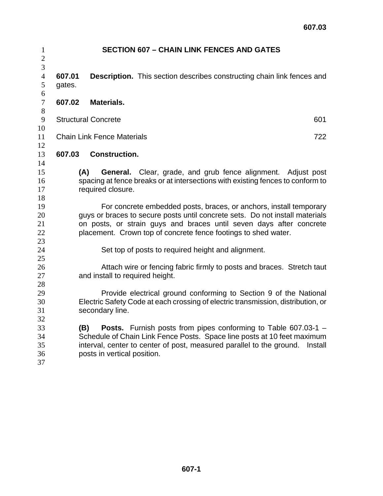| $\mathbf{1}$        |                                                                    | <b>SECTION 607 - CHAIN LINK FENCES AND GATES</b>                                 |  |  |  |  |
|---------------------|--------------------------------------------------------------------|----------------------------------------------------------------------------------|--|--|--|--|
| $\overline{2}$      |                                                                    |                                                                                  |  |  |  |  |
| 3                   |                                                                    |                                                                                  |  |  |  |  |
| $\overline{4}$<br>5 | 607.01<br>gates.                                                   | <b>Description.</b> This section describes constructing chain link fences and    |  |  |  |  |
| 6                   |                                                                    |                                                                                  |  |  |  |  |
| $\tau$              | 607.02                                                             | <b>Materials.</b>                                                                |  |  |  |  |
| 8                   |                                                                    |                                                                                  |  |  |  |  |
| 9                   |                                                                    | <b>Structural Concrete</b><br>601                                                |  |  |  |  |
| $10\,$              |                                                                    |                                                                                  |  |  |  |  |
| 11                  |                                                                    | <b>Chain Link Fence Materials</b><br>722                                         |  |  |  |  |
| 12                  |                                                                    |                                                                                  |  |  |  |  |
| 13                  | 607.03                                                             | <b>Construction.</b>                                                             |  |  |  |  |
| 14                  |                                                                    |                                                                                  |  |  |  |  |
| 15                  | (A)                                                                | <b>General.</b> Clear, grade, and grub fence alignment. Adjust post              |  |  |  |  |
| 16                  |                                                                    | spacing at fence breaks or at intersections with existing fences to conform to   |  |  |  |  |
| 17                  | required closure.                                                  |                                                                                  |  |  |  |  |
| 18                  |                                                                    |                                                                                  |  |  |  |  |
| 19                  | For concrete embedded posts, braces, or anchors, install temporary |                                                                                  |  |  |  |  |
| 20<br>21            |                                                                    | guys or braces to secure posts until concrete sets. Do not install materials     |  |  |  |  |
| 22                  |                                                                    | on posts, or strain guys and braces until seven days after concrete              |  |  |  |  |
| 23                  | placement. Crown top of concrete fence footings to shed water.     |                                                                                  |  |  |  |  |
| 24                  | Set top of posts to required height and alignment.                 |                                                                                  |  |  |  |  |
| 25                  |                                                                    |                                                                                  |  |  |  |  |
| 26                  |                                                                    | Attach wire or fencing fabric firmly to posts and braces. Stretch taut           |  |  |  |  |
| 27                  |                                                                    | and install to required height.                                                  |  |  |  |  |
| 28                  |                                                                    |                                                                                  |  |  |  |  |
| 29                  |                                                                    | Provide electrical ground conforming to Section 9 of the National                |  |  |  |  |
| 30                  |                                                                    | Electric Safety Code at each crossing of electric transmission, distribution, or |  |  |  |  |
| 31                  |                                                                    | secondary line.                                                                  |  |  |  |  |
| 32                  |                                                                    |                                                                                  |  |  |  |  |
| 33                  | (B)                                                                | Posts. Furnish posts from pipes conforming to Table 607.03-1 -                   |  |  |  |  |
| 34                  |                                                                    | Schedule of Chain Link Fence Posts. Space line posts at 10 feet maximum          |  |  |  |  |
| 35                  |                                                                    | interval, center to center of post, measured parallel to the ground.<br>Install  |  |  |  |  |
| 36                  |                                                                    | posts in vertical position.                                                      |  |  |  |  |
| 37                  |                                                                    |                                                                                  |  |  |  |  |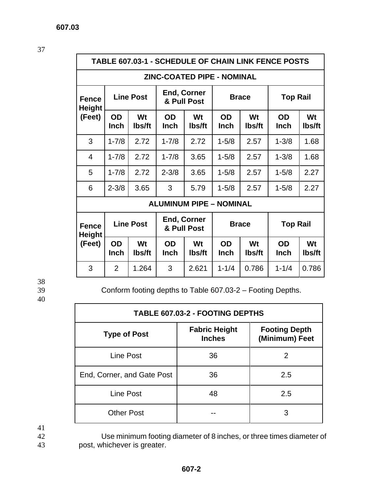37

## **TABLE 607.03-1 - SCHEDULE OF CHAIN LINK FENCE POSTS**

## **ZINC-COATED PIPE - NOMINAL**

| <b>Fence</b><br><b>Height</b>  | <b>Line Post</b>  |              | <b>End, Corner</b><br>& Pull Post |              | <b>Brace</b>             |              | <b>Top Rail</b>          |              |
|--------------------------------|-------------------|--------------|-----------------------------------|--------------|--------------------------|--------------|--------------------------|--------------|
| (Feet)                         | OD<br><b>Inch</b> | Wt<br>lbs/ft | OD<br><b>Inch</b>                 | Wt<br>lbs/ft | <b>OD</b><br><b>Inch</b> | Wt<br>lbs/ft | <b>OD</b><br><b>Inch</b> | Wt<br>lbs/ft |
| 3                              | $1 - 7/8$         | 2.72         | $1 - 7/8$                         | 2.72         | $1 - 5/8$                | 2.57         | $1 - 3/8$                | 1.68         |
| 4                              | $1 - 7/8$         | 2.72         | $1 - 7/8$                         | 3.65         | $1 - 5/8$                | 2.57         | $1 - 3/8$                | 1.68         |
| 5                              | $1 - 7/8$         | 2.72         | $2 - 3/8$                         | 3.65         | $1 - 5/8$                | 2.57         | $1 - 5/8$                | 2.27         |
| 6                              | $2 - 3/8$         | 3.65         | 3                                 | 5.79         | $1 - 5/8$                | 2.57         | $1 - 5/8$                | 2.27         |
| <b>ALUMINUM PIPE - NOMINAL</b> |                   |              |                                   |              |                          |              |                          |              |
| <b>Fence</b><br><b>Height</b>  | <b>Line Post</b>  |              | <b>End, Corner</b><br>& Pull Post |              | <b>Brace</b>             |              | <b>Top Rail</b>          |              |
| (Feet)                         | OD<br><b>Inch</b> | Wt<br>lbs/ft | <b>OD</b><br><b>Inch</b>          | Wt<br>lbs/ft | <b>OD</b><br>Inch        | Wt<br>lbs/ft | <b>OD</b><br><b>Inch</b> | Wt<br>lbs/ft |

38

40

39 Conform footing depths to Table 607.03-2 – Footing Depths.

3 | 2 |1.264 | 3 |2.621 |1-1/4 |0.786 | 1-1/4 |0.786

| <b>TABLE 607.03-2 - FOOTING DEPTHS</b> |                                       |                                        |  |  |  |
|----------------------------------------|---------------------------------------|----------------------------------------|--|--|--|
| <b>Type of Post</b>                    | <b>Fabric Height</b><br><b>Inches</b> | <b>Footing Depth</b><br>(Minimum) Feet |  |  |  |
| Line Post                              | 36                                    | 2                                      |  |  |  |
| End, Corner, and Gate Post             | 36                                    | 2.5                                    |  |  |  |
| Line Post                              | 48                                    | 2.5                                    |  |  |  |
| <b>Other Post</b>                      |                                       |                                        |  |  |  |

 $\frac{41}{42}$ 

Use minimum footing diameter of 8 inches, or three times diameter of 43 post, whichever is greater.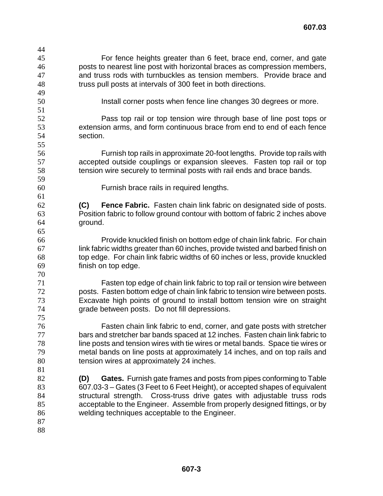| 44 |                                                                                   |
|----|-----------------------------------------------------------------------------------|
| 45 | For fence heights greater than 6 feet, brace end, corner, and gate                |
| 46 | posts to nearest line post with horizontal braces as compression members,         |
| 47 | and truss rods with turnbuckles as tension members. Provide brace and             |
| 48 | truss pull posts at intervals of 300 feet in both directions.                     |
| 49 |                                                                                   |
| 50 | Install corner posts when fence line changes 30 degrees or more.                  |
| 51 |                                                                                   |
| 52 | Pass top rail or top tension wire through base of line post tops or               |
| 53 | extension arms, and form continuous brace from end to end of each fence           |
| 54 | section.                                                                          |
| 55 |                                                                                   |
| 56 | Furnish top rails in approximate 20-foot lengths. Provide top rails with          |
| 57 | accepted outside couplings or expansion sleeves. Fasten top rail or top           |
| 58 | tension wire securely to terminal posts with rail ends and brace bands.           |
| 59 |                                                                                   |
| 60 | Furnish brace rails in required lengths.                                          |
| 61 |                                                                                   |
| 62 | <b>Fence Fabric.</b> Fasten chain link fabric on designated side of posts.<br>(C) |
| 63 | Position fabric to follow ground contour with bottom of fabric 2 inches above     |
| 64 | ground.                                                                           |
| 65 |                                                                                   |
| 66 | Provide knuckled finish on bottom edge of chain link fabric. For chain            |
| 67 | link fabric widths greater than 60 inches, provide twisted and barbed finish on   |
| 68 | top edge. For chain link fabric widths of 60 inches or less, provide knuckled     |
| 69 | finish on top edge.                                                               |
| 70 |                                                                                   |
| 71 | Fasten top edge of chain link fabric to top rail or tension wire between          |
| 72 | posts. Fasten bottom edge of chain link fabric to tension wire between posts.     |
| 73 | Excavate high points of ground to install bottom tension wire on straight         |
| 74 | grade between posts. Do not fill depressions.                                     |
| 75 |                                                                                   |
| 76 | Fasten chain link fabric to end, corner, and gate posts with stretcher            |
| 77 | bars and stretcher bar bands spaced at 12 inches. Fasten chain link fabric to     |
| 78 | line posts and tension wires with tie wires or metal bands. Space tie wires or    |
| 79 | metal bands on line posts at approximately 14 inches, and on top rails and        |
| 80 | tension wires at approximately 24 inches.                                         |
| 81 |                                                                                   |
| 82 | Gates. Furnish gate frames and posts from pipes conforming to Table<br>(D)        |
| 83 | 607.03-3 – Gates (3 Feet to 6 Feet Height), or accepted shapes of equivalent      |
| 84 | structural strength. Cross-truss drive gates with adjustable truss rods           |
| 85 | acceptable to the Engineer. Assemble from properly designed fittings, or by       |
| 86 | welding techniques acceptable to the Engineer.                                    |
| 87 |                                                                                   |
| 88 |                                                                                   |
|    |                                                                                   |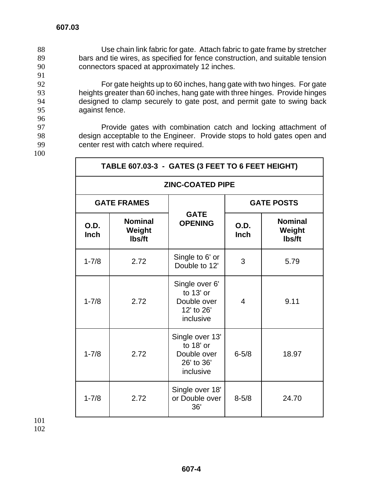Use chain link fabric for gate. Attach fabric to gate frame by stretcher bars and tie wires, as specified for fence construction, and suitable tension connectors spaced at approximately 12 inches. 91<br>92

For gate heights up to 60 inches, hang gate with two hinges. For gate heights greater than 60 inches, hang gate with three hinges. Provide hinges designed to clamp securely to gate post, and permit gate to swing back against fence.

97 **Provide gates with combination catch and locking attachment of** 98 design acceptable to the Engineer. Provide stops to hold gates open and 99 center rest with catch where required.

100

96

| TABLE 607.03-3 - GATES (3 FEET TO 6 FEET HEIGHT) |                                    |                                                                        |                   |                                    |  |
|--------------------------------------------------|------------------------------------|------------------------------------------------------------------------|-------------------|------------------------------------|--|
| <b>ZINC-COATED PIPE</b>                          |                                    |                                                                        |                   |                                    |  |
|                                                  | <b>GATE FRAMES</b>                 |                                                                        | <b>GATE POSTS</b> |                                    |  |
| O.D.<br><b>Inch</b>                              | <b>Nominal</b><br>Weight<br>lbs/ft | <b>GATE</b><br><b>OPENING</b>                                          | O.D.<br>Inch      | <b>Nominal</b><br>Weight<br>Ibs/ft |  |
| $1 - 7/8$                                        | 2.72                               | Single to 6' or<br>Double to 12'                                       | 3                 | 5.79                               |  |
| $1 - 7/8$                                        | 2.72                               | Single over 6'<br>to 13' or<br>Double over<br>12' to 26'<br>inclusive  | 4                 | 9.11                               |  |
| $1 - 7/8$                                        | 2.72                               | Single over 13'<br>to 18' or<br>Double over<br>26' to 36'<br>inclusive | $6 - 5/8$         | 18.97                              |  |
| $1 - 7/8$                                        | 2.72                               | Single over 18'<br>or Double over<br>36'                               | $8 - 5/8$         | 24.70                              |  |

101 102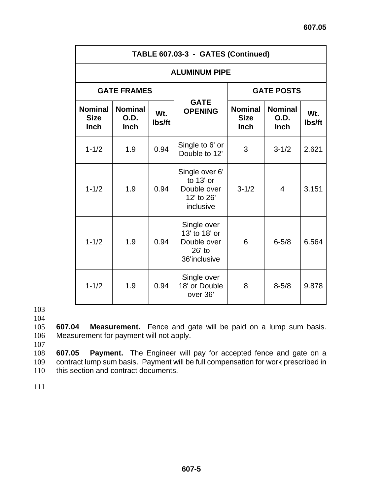| TABLE 607.03-3 - GATES (Continued)           |                                       |               |                                                                         |                                              |                                       |               |  |
|----------------------------------------------|---------------------------------------|---------------|-------------------------------------------------------------------------|----------------------------------------------|---------------------------------------|---------------|--|
| <b>ALUMINUM PIPE</b>                         |                                       |               |                                                                         |                                              |                                       |               |  |
| <b>GATE FRAMES</b>                           |                                       |               |                                                                         | <b>GATE POSTS</b>                            |                                       |               |  |
| <b>Nominal</b><br><b>Size</b><br><b>Inch</b> | <b>Nominal</b><br>O.D.<br><b>Inch</b> | Wt.<br>lbs/ft | <b>GATE</b><br><b>OPENING</b>                                           | <b>Nominal</b><br><b>Size</b><br><b>Inch</b> | <b>Nominal</b><br>O.D.<br><b>Inch</b> | Wt.<br>lbs/ft |  |
| $1 - 1/2$                                    | 1.9                                   | 0.94          | Single to 6' or<br>Double to 12'                                        | 3                                            | $3 - 1/2$                             | 2.621         |  |
| $1 - 1/2$                                    | 1.9                                   | 0.94          | Single over 6'<br>to 13' or<br>Double over<br>12' to 26'<br>inclusive   | $3 - 1/2$                                    | $\overline{4}$                        | 3.151         |  |
| $1 - 1/2$                                    | 1.9                                   | 0.94          | Single over<br>13' to 18' or<br>Double over<br>$26'$ to<br>36'inclusive | 6                                            | $6 - 5/8$                             | 6.564         |  |
| $1 - 1/2$                                    | 1.9                                   | 0.94          | Single over<br>18' or Double<br>over 36'                                | 8                                            | $8 - 5/8$                             | 9.878         |  |

103

104

105 **607.04 Measurement.** Fence and gate will be paid on a lump sum basis. 106 Measurement for payment will not apply.

107

108 **607.05 Payment.** The Engineer will pay for accepted fence and gate on a 109 contract lump sum basis. Payment will be full compensation for work prescribed in 110 this section and contract documents.

111